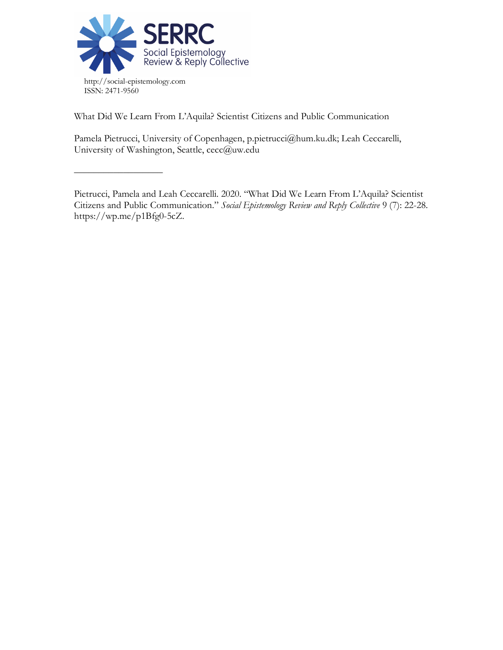

––––––––––––––––––

What Did We Learn From L'Aquila? Scientist Citizens and Public Communication

Pamela Pietrucci, University of Copenhagen, p.pietrucci@hum.ku.dk; Leah Ceccarelli, University of Washington, Seattle, cecc@uw.edu

Pietrucci, Pamela and Leah Ceccarelli. 2020. "What Did We Learn From L'Aquila? Scientist Citizens and Public Communication." *Social Epistemology Review and Reply Collective* 9 (7): 22-28. https://wp.me/p1Bfg0-5cZ.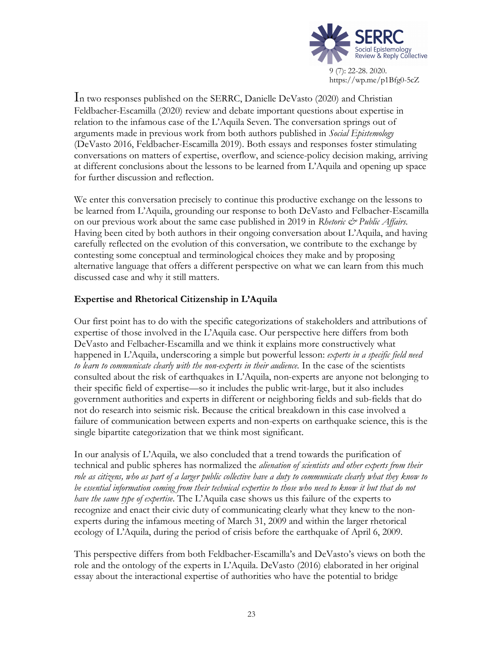

In two responses published on the SERRC, Danielle DeVasto (2020) and Christian Feldbacher-Escamilla (2020) review and debate important questions about expertise in relation to the infamous case of the L'Aquila Seven. The conversation springs out of arguments made in previous work from both authors published in *Social Epistemology* (DeVasto 2016, Feldbacher-Escamilla 2019). Both essays and responses foster stimulating conversations on matters of expertise, overflow, and science-policy decision making, arriving at different conclusions about the lessons to be learned from L'Aquila and opening up space for further discussion and reflection.

We enter this conversation precisely to continue this productive exchange on the lessons to be learned from L'Aquila, grounding our response to both DeVasto and Felbacher-Escamilla on our previous work about the same case published in 2019 in *Rhetoric & Public Affairs.* Having been cited by both authors in their ongoing conversation about L'Aquila, and having carefully reflected on the evolution of this conversation, we contribute to the exchange by contesting some conceptual and terminological choices they make and by proposing alternative language that offers a different perspective on what we can learn from this much discussed case and why it still matters.

# **Expertise and Rhetorical Citizenship in L'Aquila**

Our first point has to do with the specific categorizations of stakeholders and attributions of expertise of those involved in the L'Aquila case. Our perspective here differs from both DeVasto and Felbacher-Escamilla and we think it explains more constructively what happened in L'Aquila, underscoring a simple but powerful lesson: *experts in a specific field need to learn to communicate clearly with the non-experts in their audience.* In the case of the scientists consulted about the risk of earthquakes in L'Aquila, non-experts are anyone not belonging to their specific field of expertise––so it includes the public writ-large, but it also includes government authorities and experts in different or neighboring fields and sub-fields that do not do research into seismic risk. Because the critical breakdown in this case involved a failure of communication between experts and non-experts on earthquake science, this is the single bipartite categorization that we think most significant.

In our analysis of L'Aquila, we also concluded that a trend towards the purification of technical and public spheres has normalized the *alienation of scientists and other experts from their role as citizens, who as part of a larger public collective have a duty to communicate clearly what they know to be essential information coming from their technical expertise to those who need to know it but that do not have the same type of expertise*. The L'Aquila case shows us this failure of the experts to recognize and enact their civic duty of communicating clearly what they knew to the nonexperts during the infamous meeting of March 31, 2009 and within the larger rhetorical ecology of L'Aquila, during the period of crisis before the earthquake of April 6, 2009.

This perspective differs from both Feldbacher-Escamilla's and DeVasto's views on both the role and the ontology of the experts in L'Aquila. DeVasto (2016) elaborated in her original essay about the interactional expertise of authorities who have the potential to bridge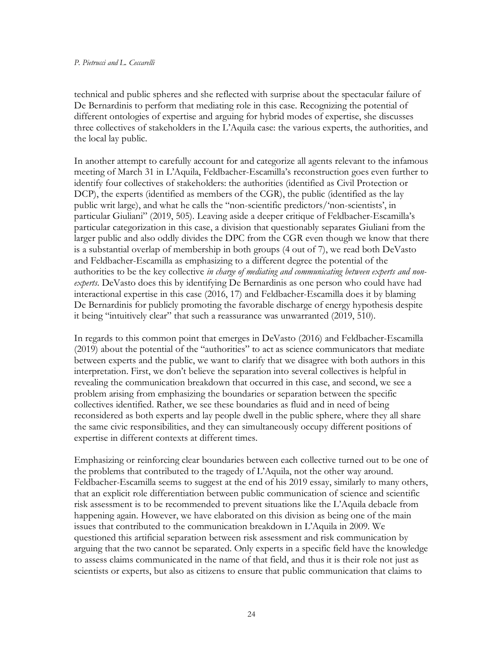#### *P. Pietrucci and L. Ceccarelli*

technical and public spheres and she reflected with surprise about the spectacular failure of De Bernardinis to perform that mediating role in this case. Recognizing the potential of different ontologies of expertise and arguing for hybrid modes of expertise, she discusses three collectives of stakeholders in the L'Aquila case: the various experts, the authorities, and the local lay public.

In another attempt to carefully account for and categorize all agents relevant to the infamous meeting of March 31 in L'Aquila, Feldbacher-Escamilla's reconstruction goes even further to identify four collectives of stakeholders: the authorities (identified as Civil Protection or DCP), the experts (identified as members of the CGR), the public (identified as the lay public writ large), and what he calls the "non-scientific predictors/'non-scientists', in particular Giuliani" (2019, 505). Leaving aside a deeper critique of Feldbacher-Escamilla's particular categorization in this case, a division that questionably separates Giuliani from the larger public and also oddly divides the DPC from the CGR even though we know that there is a substantial overlap of membership in both groups (4 out of 7), we read both DeVasto and Feldbacher-Escamilla as emphasizing to a different degree the potential of the authorities to be the key collective *in charge of mediating and communicating between experts and nonexperts.* DeVasto does this by identifying De Bernardinis as one person who could have had interactional expertise in this case (2016, 17) and Feldbacher-Escamilla does it by blaming De Bernardinis for publicly promoting the favorable discharge of energy hypothesis despite it being "intuitively clear" that such a reassurance was unwarranted (2019, 510).

In regards to this common point that emerges in DeVasto (2016) and Feldbacher-Escamilla (2019) about the potential of the "authorities" to act as science communicators that mediate between experts and the public, we want to clarify that we disagree with both authors in this interpretation. First, we don't believe the separation into several collectives is helpful in revealing the communication breakdown that occurred in this case, and second, we see a problem arising from emphasizing the boundaries or separation between the specific collectives identified. Rather, we see these boundaries as fluid and in need of being reconsidered as both experts and lay people dwell in the public sphere, where they all share the same civic responsibilities, and they can simultaneously occupy different positions of expertise in different contexts at different times.

Emphasizing or reinforcing clear boundaries between each collective turned out to be one of the problems that contributed to the tragedy of L'Aquila, not the other way around. Feldbacher-Escamilla seems to suggest at the end of his 2019 essay, similarly to many others, that an explicit role differentiation between public communication of science and scientific risk assessment is to be recommended to prevent situations like the L'Aquila debacle from happening again. However, we have elaborated on this division as being one of the main issues that contributed to the communication breakdown in L'Aquila in 2009. We questioned this artificial separation between risk assessment and risk communication by arguing that the two cannot be separated. Only experts in a specific field have the knowledge to assess claims communicated in the name of that field, and thus it is their role not just as scientists or experts, but also as citizens to ensure that public communication that claims to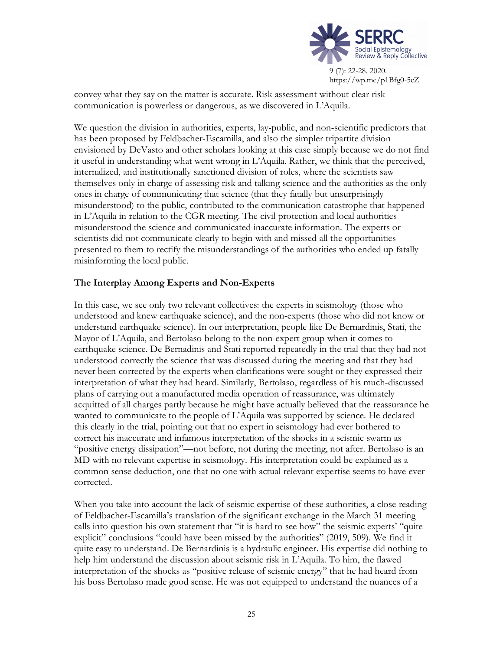

convey what they say on the matter is accurate. Risk assessment without clear risk communication is powerless or dangerous, as we discovered in L'Aquila.

We question the division in authorities, experts, lay-public, and non-scientific predictors that has been proposed by Feldbacher-Escamilla, and also the simpler tripartite division envisioned by DeVasto and other scholars looking at this case simply because we do not find it useful in understanding what went wrong in L'Aquila. Rather, we think that the perceived, internalized, and institutionally sanctioned division of roles, where the scientists saw themselves only in charge of assessing risk and talking science and the authorities as the only ones in charge of communicating that science (that they fatally but unsurprisingly misunderstood) to the public, contributed to the communication catastrophe that happened in L'Aquila in relation to the CGR meeting. The civil protection and local authorities misunderstood the science and communicated inaccurate information. The experts or scientists did not communicate clearly to begin with and missed all the opportunities presented to them to rectify the misunderstandings of the authorities who ended up fatally misinforming the local public.

# **The Interplay Among Experts and Non-Experts**

In this case, we see only two relevant collectives: the experts in seismology (those who understood and knew earthquake science), and the non-experts (those who did not know or understand earthquake science). In our interpretation, people like De Bernardinis, Stati, the Mayor of L'Aquila, and Bertolaso belong to the non-expert group when it comes to earthquake science. De Bernadinis and Stati reported repeatedly in the trial that they had not understood correctly the science that was discussed during the meeting and that they had never been corrected by the experts when clarifications were sought or they expressed their interpretation of what they had heard. Similarly, Bertolaso, regardless of his much-discussed plans of carrying out a manufactured media operation of reassurance, was ultimately acquitted of all charges partly because he might have actually believed that the reassurance he wanted to communicate to the people of L'Aquila was supported by science. He declared this clearly in the trial, pointing out that no expert in seismology had ever bothered to correct his inaccurate and infamous interpretation of the shocks in a seismic swarm as "positive energy dissipation"—not before, not during the meeting, not after. Bertolaso is an MD with no relevant expertise in seismology. His interpretation could be explained as a common sense deduction, one that no one with actual relevant expertise seems to have ever corrected.

When you take into account the lack of seismic expertise of these authorities, a close reading of Feldbacher-Escamilla's translation of the significant exchange in the March 31 meeting calls into question his own statement that "it is hard to see how" the seismic experts' "quite explicit" conclusions "could have been missed by the authorities" (2019, 509). We find it quite easy to understand. De Bernardinis is a hydraulic engineer. His expertise did nothing to help him understand the discussion about seismic risk in L'Aquila. To him, the flawed interpretation of the shocks as "positive release of seismic energy" that he had heard from his boss Bertolaso made good sense. He was not equipped to understand the nuances of a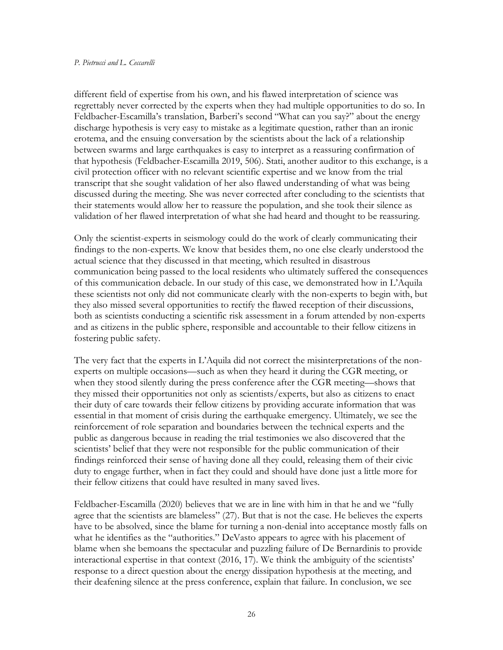#### *P. Pietrucci and L. Ceccarelli*

different field of expertise from his own, and his flawed interpretation of science was regrettably never corrected by the experts when they had multiple opportunities to do so. In Feldbacher-Escamilla's translation, Barberi's second "What can you say?" about the energy discharge hypothesis is very easy to mistake as a legitimate question, rather than an ironic erotema, and the ensuing conversation by the scientists about the lack of a relationship between swarms and large earthquakes is easy to interpret as a reassuring confirmation of that hypothesis (Feldbacher-Escamilla 2019, 506). Stati, another auditor to this exchange, is a civil protection officer with no relevant scientific expertise and we know from the trial transcript that she sought validation of her also flawed understanding of what was being discussed during the meeting. She was never corrected after concluding to the scientists that their statements would allow her to reassure the population, and she took their silence as validation of her flawed interpretation of what she had heard and thought to be reassuring.

Only the scientist-experts in seismology could do the work of clearly communicating their findings to the non-experts. We know that besides them, no one else clearly understood the actual science that they discussed in that meeting, which resulted in disastrous communication being passed to the local residents who ultimately suffered the consequences of this communication debacle. In our study of this case, we demonstrated how in L'Aquila these scientists not only did not communicate clearly with the non-experts to begin with, but they also missed several opportunities to rectify the flawed reception of their discussions, both as scientists conducting a scientific risk assessment in a forum attended by non-experts and as citizens in the public sphere, responsible and accountable to their fellow citizens in fostering public safety.

The very fact that the experts in L'Aquila did not correct the misinterpretations of the nonexperts on multiple occasions––such as when they heard it during the CGR meeting, or when they stood silently during the press conference after the CGR meeting––shows that they missed their opportunities not only as scientists/experts, but also as citizens to enact their duty of care towards their fellow citizens by providing accurate information that was essential in that moment of crisis during the earthquake emergency. Ultimately, we see the reinforcement of role separation and boundaries between the technical experts and the public as dangerous because in reading the trial testimonies we also discovered that the scientists' belief that they were not responsible for the public communication of their findings reinforced their sense of having done all they could, releasing them of their civic duty to engage further, when in fact they could and should have done just a little more for their fellow citizens that could have resulted in many saved lives.

Feldbacher-Escamilla (2020) believes that we are in line with him in that he and we "fully agree that the scientists are blameless" (27). But that is not the case. He believes the experts have to be absolved, since the blame for turning a non-denial into acceptance mostly falls on what he identifies as the "authorities." DeVasto appears to agree with his placement of blame when she bemoans the spectacular and puzzling failure of De Bernardinis to provide interactional expertise in that context (2016, 17). We think the ambiguity of the scientists' response to a direct question about the energy dissipation hypothesis at the meeting, and their deafening silence at the press conference, explain that failure. In conclusion, we see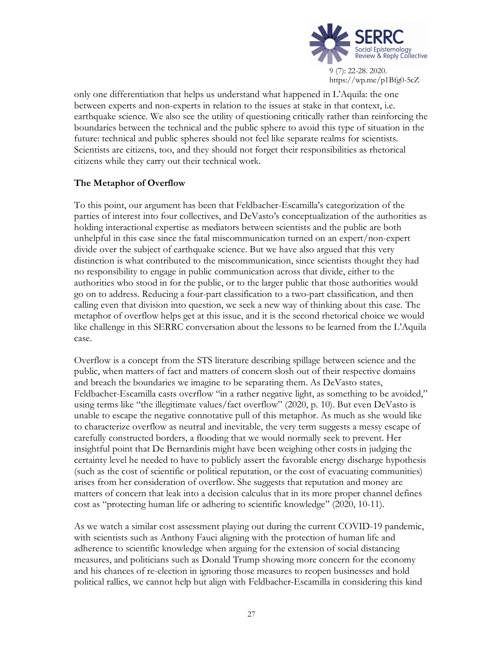

only one differentiation that helps us understand what happened in L'Aquila: the one between experts and non-experts in relation to the issues at stake in that context, i.e. earthquake science. We also see the utility of questioning critically rather than reinforcing the boundaries between the technical and the public sphere to avoid this type of situation in the future: technical and public spheres should not feel like separate realms for scientists. Scientists are citizens, too, and they should not forget their responsibilities as rhetorical citizens while they carry out their technical work.

# **The Metaphor of Overflow**

To this point, our argument has been that Feldbacher-Escamilla's categorization of the parties of interest into four collectives, and DeVasto's conceptualization of the authorities as holding interactional expertise as mediators between scientists and the public are both unhelpful in this case since the fatal miscommunication turned on an expert/non-expert divide over the subject of earthquake science. But we have also argued that this very distinction is what contributed to the miscommunication, since scientists thought they had no responsibility to engage in public communication across that divide, either to the authorities who stood in for the public, or to the larger public that those authorities would go on to address. Reducing a four-part classification to a two-part classification, and then calling even that division into question, we seek a new way of thinking about this case. The metaphor of overflow helps get at this issue, and it is the second rhetorical choice we would like challenge in this SERRC conversation about the lessons to be learned from the L'Aquila case.

Overflow is a concept from the STS literature describing spillage between science and the public, when matters of fact and matters of concern slosh out of their respective domains and breach the boundaries we imagine to be separating them. As DeVasto states, Feldbacher-Escamilla casts overflow "in a rather negative light, as something to be avoided," using terms like "the illegitimate values/fact overflow" (2020, p. 10). But even DeVasto is unable to escape the negative connotative pull of this metaphor. As much as she would like to characterize overflow as neutral and inevitable, the very term suggests a messy escape of carefully constructed borders, a flooding that we would normally seek to prevent. Her insightful point that De Bernardinis might have been weighing other costs in judging the certainty level he needed to have to publicly assert the favorable energy discharge hypothesis (such as the cost of scientific or political reputation, or the cost of evacuating communities) arises from her consideration of overflow. She suggests that reputation and money are matters of concern that leak into a decision calculus that in its more proper channel defines cost as "protecting human life or adhering to scientific knowledge" (2020, 10-11).

As we watch a similar cost assessment playing out during the current COVID-19 pandemic, with scientists such as Anthony Fauci aligning with the protection of human life and adherence to scientific knowledge when arguing for the extension of social distancing measures, and politicians such as Donald Trump showing more concern for the economy and his chances of re-election in ignoring those measures to reopen businesses and hold political rallies, we cannot help but align with Feldbacher-Escamilla in considering this kind